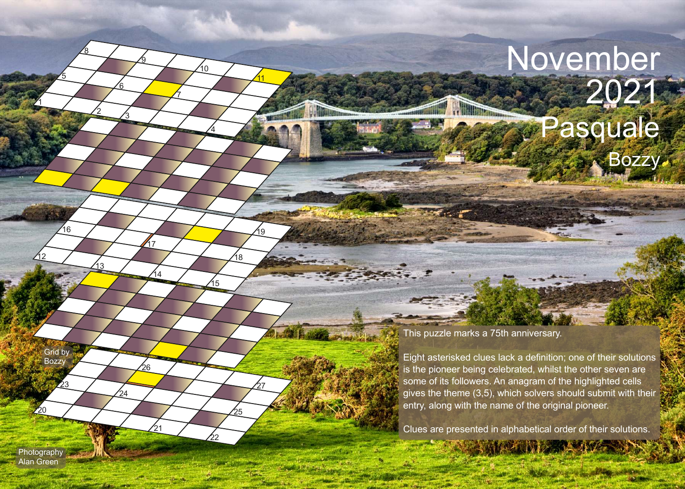## November 2021 Pasquale Bozzy

## This puzzle marks a 75th anniversary.

 $\mathcal{L}_{11}$   $\mathcal{L}_{12}$ 

Eight asterisked clues lack a definition; one of their solutions is the pioneer being celebrated, whilst the other seven are some of its followers. An anagram of the highlighted cells gives the theme (3,5), which solvers should submit with their entry, along with the name of the original pioneer.

Clues are presented in alphabetical order of their solutions.

Photography Alan Green

 $\mathcal{P}^0$ 

23

Grid by **Bozzy** 

1

12

16

5

2

13

<u>8</u>

3

7

4

.<br>10

15

22

25

27

 $21$ 

้ค

24

14

17

18

19

11

6

9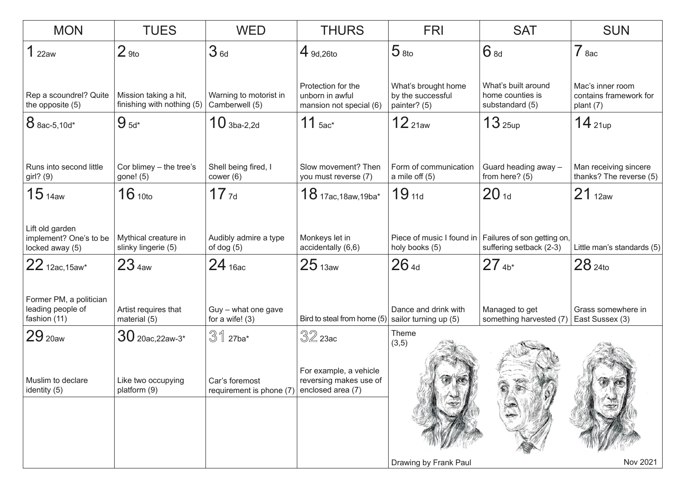| <b>MON</b>                                                   | <b>TUES</b>                                         | <b>WED</b>                                 | <b>THURS</b>                                                          | <b>FRI</b>                                               | <b>SAT</b>                                                                       | <b>SUN</b>                                                |
|--------------------------------------------------------------|-----------------------------------------------------|--------------------------------------------|-----------------------------------------------------------------------|----------------------------------------------------------|----------------------------------------------------------------------------------|-----------------------------------------------------------|
| 1 <sub>22aw</sub>                                            | 2 <sub>9to</sub>                                    | 3 <sub>6d</sub>                            | $4$ 9d, 26to                                                          | 5 <sub>8to</sub>                                         | 6 8d                                                                             | $7$ 8ac                                                   |
| Rep a scoundrel? Quite<br>the opposite (5)                   | Mission taking a hit,<br>finishing with nothing (5) | Warning to motorist in<br>Camberwell (5)   | Protection for the<br>unborn in awful<br>mansion not special (6)      | What's brought home<br>by the successful<br>painter? (5) | What's built around<br>home counties is<br>substandard (5)                       | Mac's inner room<br>contains framework for<br>plant $(7)$ |
| 8 8ac-5,10d*                                                 | $95d*$                                              | $10$ 3ba-2,2d                              | 11 $5ac^*$                                                            | 12 <sub>21aw</sub>                                       | 13 <sub>25up</sub>                                                               | $14$ 21up                                                 |
| Runs into second little<br>girl? (9)                         | Cor blimey $-$ the tree's<br>gone! (5)              | Shell being fired, I<br>cover (6)          | Slow movement? Then<br>you must reverse (7)                           | Form of communication<br>a mile off $(5)$                | Guard heading away -<br>from here? (5)                                           | Man receiving sincere<br>thanks? The reverse (5)          |
| 15 <sub>14aw</sub>                                           | 16 <sub>10to</sub>                                  | $17$ $7d$                                  | $18$ 17ac, 18aw, 19ba*                                                | $19_{11d}$                                               | 20 <sub>1d</sub>                                                                 | 21 <sub>12aw</sub>                                        |
| Lift old garden<br>implement? One's to be<br>locked away (5) | Mythical creature in<br>slinky lingerie (5)         | Audibly admire a type<br>of dog $(5)$      | Monkeys let in<br>accidentally (6,6)                                  | holy books (5)                                           | Piece of music I found in Failures of son getting on,<br>suffering setback (2-3) | Little man's standards (5)                                |
| 22 12ac, 15aw*                                               | 23 <sub>4aw</sub>                                   | $24$ 16ac                                  | 25 <sub>13aw</sub>                                                    | 264d                                                     | $27_{4b*}$                                                                       | $28_{\,24}$ to                                            |
| Former PM, a politician<br>leading people of<br>fashion (11) | Artist requires that<br>material (5)                | Guy - what one gave<br>for a wife! $(3)$   | Bird to steal from home $(5)$ sailor turning up $(5)$                 | Dance and drink with                                     | Managed to get<br>something harvested (7)                                        | Grass somewhere in<br>East Sussex (3)                     |
| 29 <sub>20aw</sub>                                           | $30$ 20ac, 22aw-3*                                  | $31$ 27ba*                                 | $32$ 23ac                                                             | Theme<br>(3,5)                                           |                                                                                  |                                                           |
| Muslim to declare<br>identity (5)                            | Like two occupying<br>platform (9)                  | Car's foremost<br>requirement is phone (7) | For example, a vehicle<br>reversing makes use of<br>enclosed area (7) |                                                          |                                                                                  |                                                           |
|                                                              |                                                     |                                            |                                                                       | Drawing by Frank Paul                                    |                                                                                  | Nov 2021                                                  |